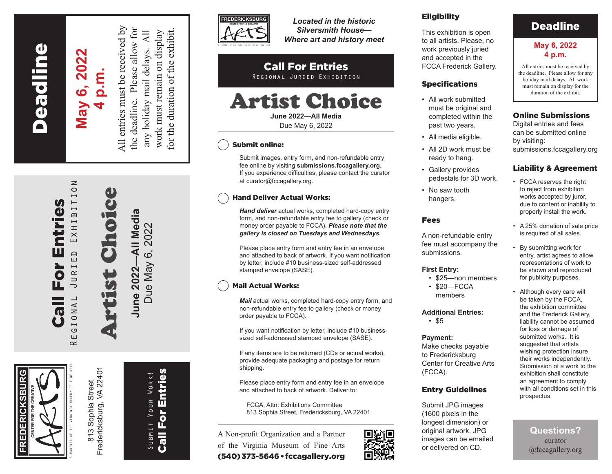**Peadline** Fredericksburg Deadline

**FREDERICKSBURG**

EDERICKSBUR

**CENTER FOR THE CREATIVE**

A PARTNER OF THE VIRGINIA MUSEUM OF FINE ARTS

Call For Entries Regional Juried Exhibition

Eor

 $\overline{\mathbf{C}}$ 

 $\bullet$  1

m

ntries

# May 6, 2022 **May 6, 2022 4 p.m.**

 $\geq$ 

EXHIBITIO

 $\overline{E}$ 

 $R_{I}$  $\overline{\mathsf{d}}$  $\overline{\phantom{0}}$  $\overline{\phantom{0}}$  $\bar{4}$ 

 $\overline{a}$ 

 $\overline{\phantom{0}}$  $\circ$ Ш  $\approx$  All entries must be received by the deadline. Please allow for  $\overline{A}$ any holiday mail delays. All work must remain on display any holiday mail delays.

All entries must be received by for the duration of the exhibit. the deadline. Please allow for work must remain on display for the duration of the exhibit.

Artist Choice June 2022—All Media **June 2022—All Media** Due May 6, 2022 Due May 6, 2022

 $\frac{1}{2}$ 

Fredericksburg, VA 22401 Fredericksburg, VA 22401 Sophia Street 813 Sophia Street  $813$ 

Submit Your Work! Call For Entries

SUBMIT

YOUR WORK!

**Call For Entries** 



*Located in the historic Silversmith House— Where art and history meet*

#### Call For Entries Regional Juried Exhibition

# Artist Choice **June 2022—All Media**

Due May 6, 2022

### Submit online:

Submit images, entry form, and non-refundable entry fee online by visiting **submissions.fccagallery.org.** If you experience difficulties, please contact the curator at curator@fccagallery.org.

### Hand Deliver Actual Works:

*Hand deliver* actual works, completed hard-copy entry form, and non-refundable entry fee to gallery (check or money order payable to FCCA). *Please note that the gallery is closed on Tuesdays and Wednesdays.*

Please place entry form and entry fee in an envelope and attached to back of artwork. If you want notification by letter, include #10 business-sized self-addressed stamped envelope (SASE).

## Mail Actual Works:

*Mail* actual works, completed hard-copy entry form, and non-refundable entry fee to gallery (check or money order payable to FCCA).

If you want notification by letter, include #10 businesssized self-addressed stamped envelope (SASE).

If any items are to be returned (CDs or actual works), provide adequate packaging and postage for return shipping.

Please place entry form and entry fee in an envelope and attached to back of artwork. Deliver to:

FCCA, Attn: Exhibitions Committee 813 Sophia Street, Fredericksburg, VA 22401

A Non-profit Organization and a Partner of the Virginia Museum of Fine Arts (540) 373-5646 • fccagallery.org



### **Eligibility**

This exhibition is open to all artists. Please, no work previously juried and accepted in the FCCA Frederick Gallery.

#### Specifications

- All work submitted must be original and completed within the past two years.
- All media eligible.
- All 2D work must be ready to hang.
- Gallery provides pedestals for 3D work.
- No saw tooth hangers.

#### Fees

A non-refundable entry fee must accompany the submissions.

#### **First Entry:**

- \$25—non members
- \$20—FCCA members

#### **Additional Entries:**

• \$5

#### **Payment:**

Make checks payable to Fredericksburg Center for Creative Arts (FCCA).

#### Entry Guidelines

Submit JPG images (1600 pixels in the longest dimension) or original artwork. JPG images can be emailed or delivered on CD.

# Deadline

#### **May 6, 2022 4 p.m.**

All entries must be received by the deadline. Please allow for any holiday mail delays. All work must remain on display for the duration of the exhibit.

#### Online Submissions

Digital entries and fees can be submitted online by visiting: submissions.fccagallery.org

#### Liability & Agreement

- FCCA reserves the right to reject from exhibition works accepted by juror, due to content or inability to properly install the work.
- A 25% donation of sale price is required of all sales.
- By submitting work for entry, artist agrees to allow representations of work to be shown and reproduced for publicity purposes.
- Although every care will be taken by the FCCA, the exhibition committee and the Frederick Gallery, liability cannot be assumed for loss or damage of submitted works. It is suggested that artists wishing protection insure their works independently. Submission of a work to the exhibition shall constitute an agreement to comply with all conditions set in this prospectus.

**Questions?**  curator @fccagallery.org